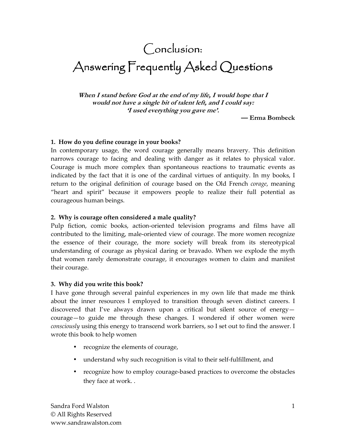# Conclusion:

# Answering Frequently Asked Questions

**When I stand before God at the end of my life, I would hope that I would not have a single bit of talent left, and I could say: 'I used everything you gave me'.** 

**— Erma Bombeck** 

#### **1. How do you define courage in your books?**

In contemporary usage, the word courage generally means bravery. This definition narrows courage to facing and dealing with danger as it relates to physical valor. Courage is much more complex than spontaneous reactions to traumatic events as indicated by the fact that it is one of the cardinal virtues of antiquity. In my books, I return to the original definition of courage based on the Old French *corage*, meaning "heart and spirit" because it empowers people to realize their full potential as courageous human beings.

#### **2. Why is courage often considered a male quality?**

Pulp fiction, comic books, action-oriented television programs and films have all contributed to the limiting, male-oriented view of courage. The more women recognize the essence of their courage, the more society will break from its stereotypical understanding of courage as physical daring or bravado. When we explode the myth that women rarely demonstrate courage, it encourages women to claim and manifest their courage.

#### **3. Why did you write this book?**

I have gone through several painful experiences in my own life that made me think about the inner resources I employed to transition through seven distinct careers. I discovered that I've always drawn upon a critical but silent source of energy courage—to guide me through these changes. I wondered if other women were *consciously* using this energy to transcend work barriers, so I set out to find the answer. I wrote this book to help women

- recognize the elements of courage,
- understand why such recognition is vital to their self-fulfillment, and
- recognize how to employ courage-based practices to overcome the obstacles they face at work. .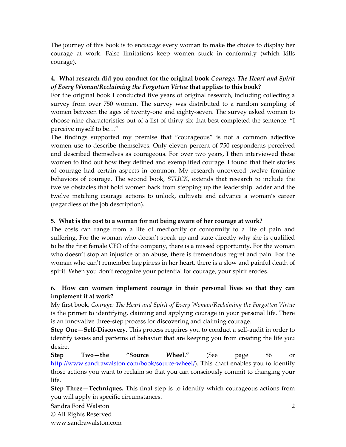The journey of this book is to en*courage* every woman to make the choice to display her courage at work. False limitations keep women stuck in conformity (which kills courage).

# **4. What research did you conduct for the original book** *Courage: The Heart and Spirit of Every Woman/Reclaiming the Forgotten Virtue* **that applies to this book?**

For the original book I conducted five years of original research, including collecting a survey from over 750 women. The survey was distributed to a random sampling of women between the ages of twenty-one and eighty-seven. The survey asked women to choose nine characteristics out of a list of thirty-six that best completed the sentence: "I perceive myself to be…"

The findings supported my premise that "courageous" is not a common adjective women use to describe themselves. Only eleven percent of 750 respondents perceived and described themselves as courageous. For over two years, I then interviewed these women to find out how they defined and exemplified courage. I found that their stories of courage had certain aspects in common. My research uncovered twelve feminine behaviors of courage. The second book, *STUCK*, extends that research to include the twelve obstacles that hold women back from stepping up the leadership ladder and the twelve matching courage actions to unlock, cultivate and advance a woman's career (regardless of the job description).

# **5. What is the cost to a woman for not being aware of her courage at work?**

The costs can range from a life of mediocrity or conformity to a life of pain and suffering. For the woman who doesn't speak up and state directly why she is qualified to be the first female CFO of the company, there is a missed opportunity. For the woman who doesn't stop an injustice or an abuse, there is tremendous regret and pain. For the woman who can't remember happiness in her heart, there is a slow and painful death of spirit. When you don't recognize your potential for courage, your spirit erodes.

# **6. How can women implement courage in their personal lives so that they can implement it at work?**

My first book, *Courage: The Heart and Spirit of Every Woman/Reclaiming the Forgotten Virtue*  is the primer to identifying, claiming and applying courage in your personal life. There is an innovative three-step process for discovering and claiming courage.

**Step One—Self-Discovery.** This process requires you to conduct a self-audit in order to identify issues and patterns of behavior that are keeping you from creating the life you desire.

**Step Two—the "Source Wheel."** (See page 86 or http://www.sandrawalston.com/book/source-wheel/). This chart enables you to identify those actions you want to reclaim so that you can consciously commit to changing your life.

**Step Three—Techniques.** This final step is to identify which courageous actions from you will apply in specific circumstances.

Sandra Ford Walston

© All Rights Reserved

www.sandrawalston.com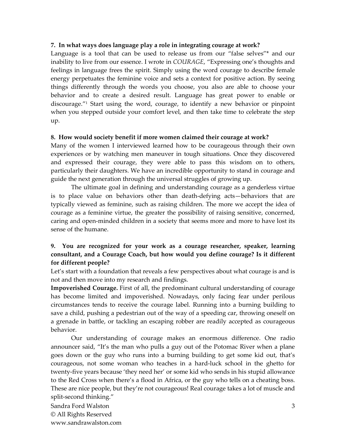#### **7. In what ways does language play a role in integrating courage at work?**

Language is a tool that can be used to release us from our "false selves"\* and our inability to live from our essence. I wrote in *COURAGE*, "Expressing one's thoughts and feelings in language frees the spirit. Simply using the word courage to describe female energy perpetuates the feminine voice and sets a context for positive action. By seeing things differently through the words you choose, you also are able to choose your behavior and to create a desired result. Language has great power to enable or discourage."<sup>1</sup> Start using the word, courage, to identify a new behavior or pinpoint when you stepped outside your comfort level, and then take time to celebrate the step up.

#### **8. How would society benefit if more women claimed their courage at work?**

Many of the women I interviewed learned how to be courageous through their own experiences or by watching men maneuver in tough situations. Once they discovered and expressed their courage, they were able to pass this wisdom on to others, particularly their daughters. We have an incredible opportunity to stand in courage and guide the next generation through the universal struggles of growing up.

The ultimate goal in defining and understanding courage as a genderless virtue is to place value on behaviors other than death-defying acts—behaviors that are typically viewed as feminine, such as raising children. The more we accept the idea of courage as a feminine virtue, the greater the possibility of raising sensitive, concerned, caring and open-minded children in a society that seems more and more to have lost its sense of the humane.

# **9. You are recognized for your work as a courage researcher, speaker, learning consultant, and a Courage Coach, but how would you define courage? Is it different for different people?**

Let's start with a foundation that reveals a few perspectives about what courage is and is not and then move into my research and findings.

**Impoverished Courage.** First of all, the predominant cultural understanding of courage has become limited and impoverished. Nowadays, only facing fear under perilous circumstances tends to receive the courage label. Running into a burning building to save a child, pushing a pedestrian out of the way of a speeding car, throwing oneself on a grenade in battle, or tackling an escaping robber are readily accepted as courageous behavior.

Our understanding of courage makes an enormous difference. One radio announcer said, "It's the man who pulls a guy out of the Potomac River when a plane goes down or the guy who runs into a burning building to get some kid out, that's courageous, not some woman who teaches in a hard-luck school in the ghetto for twenty-five years because 'they need her' or some kid who sends in his stupid allowance to the Red Cross when there's a flood in Africa, or the guy who tells on a cheating boss. These are nice people, but they're not courageous! Real courage takes a lot of muscle and split-second thinking."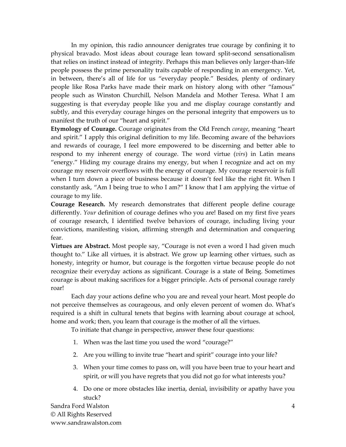In my opinion, this radio announcer denigrates true courage by confining it to physical bravado. Most ideas about courage lean toward split-second sensationalism that relies on instinct instead of integrity. Perhaps this man believes only larger-than-life people possess the prime personality traits capable of responding in an emergency. Yet, in between, there's all of life for us "everyday people." Besides, plenty of ordinary people like Rosa Parks have made their mark on history along with other "famous" people such as Winston Churchill, Nelson Mandela and Mother Teresa. What I am suggesting is that everyday people like you and me display courage constantly and subtly, and this everyday courage hinges on the personal integrity that empowers us to manifest the truth of our "heart and spirit."

**Etymology of Courage.** Courage originates from the Old French *corage*, meaning "heart and spirit." I apply this original definition to my life. Becoming aware of the behaviors and rewards of courage, I feel more empowered to be discerning and better able to respond to my inherent energy of courage. The word virtue (*virs*) in Latin means "energy." Hiding my courage drains my energy, but when I recognize and act on my courage my reservoir overflows with the energy of courage. My courage reservoir is full when I turn down a piece of business because it doesn't feel like the right fit. When I constantly ask, "Am I being true to who I am?" I know that I am applying the virtue of courage to my life.

**Courage Research.** My research demonstrates that different people define courage differently. *Your* definition of courage defines who you are! Based on my first five years of courage research, I identified twelve behaviors of courage, including living your convictions, manifesting vision, affirming strength and determination and conquering fear.

**Virtues are Abstract.** Most people say, "Courage is not even a word I had given much thought to." Like all virtues, it is abstract. We grow up learning other virtues, such as honesty, integrity or humor, but courage is the forgotten virtue because people do not recognize their everyday actions as significant. Courage is a state of Being. Sometimes courage is about making sacrifices for a bigger principle. Acts of personal courage rarely roar!

Each day your actions define who you are and reveal your heart. Most people do not perceive themselves as courageous, and only eleven percent of women do. What's required is a shift in cultural tenets that begins with learning about courage at school, home and work; then, you learn that courage is the mother of all the virtues.

To initiate that change in perspective, answer these four questions:

- 1. When was the last time you used the word "courage?"
- 2. Are you willing to invite true "heart and spirit" courage into your life?
- 3. When your time comes to pass on, will you have been true to your heart and spirit, or will you have regrets that you did not go for what interests you?
- 4. Do one or more obstacles like inertia, denial, invisibility or apathy have you stuck?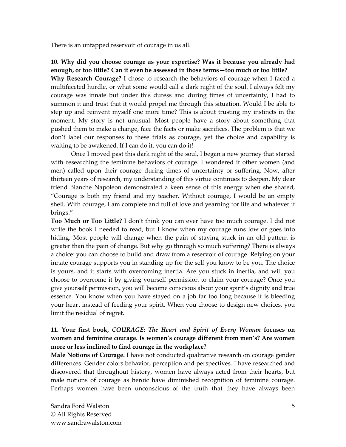There is an untapped reservoir of courage in us all.

# **10. Why did you choose courage as your expertise? Was it because you already had enough, or too little? Can it even be assessed in those terms—too much or too little?**

**Why Research Courage?** I chose to research the behaviors of courage when I faced a multifaceted hurdle, or what some would call a dark night of the soul. I always felt my courage was innate but under this duress and during times of uncertainty, I had to summon it and trust that it would propel me through this situation. Would I be able to step up and reinvent myself one more time? This is about trusting my instincts in the moment. My story is not unusual. Most people have a story about something that pushed them to make a change, face the facts or make sacrifices. The problem is that we don't label our responses to these trials as courage, yet the choice and capability is waiting to be awakened. If I can do it, you can do it!

Once I moved past this dark night of the soul, I began a new journey that started with researching the feminine behaviors of courage. I wondered if other women (and men) called upon their courage during times of uncertainty or suffering. Now, after thirteen years of research, my understanding of this virtue continues to deepen. My dear friend Blanche Napoleon demonstrated a keen sense of this energy when she shared, "Courage is both my friend and my teacher. Without courage, I would be an empty shell. With courage, I am complete and full of love and yearning for life and whatever it brings."

**Too Much or Too Little?** I don't think you can ever have too much courage. I did not write the book I needed to read, but I know when my courage runs low or goes into hiding. Most people will change when the pain of staying stuck in an old pattern is greater than the pain of change. But why go through so much suffering? There is always a choice: you can choose to build and draw from a reservoir of courage. Relying on your innate courage supports you in standing up for the self you know to be you. The choice is yours, and it starts with overcoming inertia. Are you stuck in inertia, and will you choose to overcome it by giving yourself permission to claim your courage? Once you give yourself permission, you will become conscious about your spirit's dignity and true essence. You know when you have stayed on a job far too long because it is bleeding your heart instead of feeding your spirit. When you choose to design new choices, you limit the residual of regret.

# **11. Your first book,** *COURAGE: The Heart and Spirit of Every Woman* **focuses on women and feminine courage. Is women's courage different from men's? Are women more or less inclined to find courage in the workplace?**

**Male Notions of Courage.** I have not conducted qualitative research on courage gender differences. Gender colors behavior, perception and perspectives. I have researched and discovered that throughout history, women have always acted from their hearts, but male notions of courage as heroic have diminished recognition of feminine courage. Perhaps women have been unconscious of the truth that they have always been

Sandra Ford Walston © All Rights Reserved www.sandrawalston.com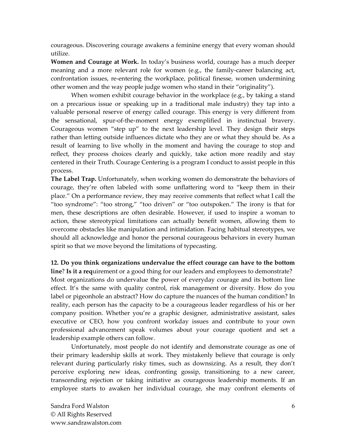courageous. Discovering courage awakens a feminine energy that every woman should utilize.

**Women and Courage at Work.** In today's business world, courage has a much deeper meaning and a more relevant role for women (e.g., the family-career balancing act, confrontation issues, re-entering the workplace, political finesse, women undermining other women and the way people judge women who stand in their "originality").

When women exhibit courage behavior in the workplace (e.g., by taking a stand on a precarious issue or speaking up in a traditional male industry) they tap into a valuable personal reserve of energy called courage. This energy is very different from the sensational, spur-of-the-moment energy exemplified in instinctual bravery. Courageous women "step up" to the next leadership level. They design their steps rather than letting outside influences dictate who they are or what they should be. As a result of learning to live wholly in the moment and having the courage to stop and reflect, they process choices clearly and quickly, take action more readily and stay centered in their Truth. Courage Centering is a program I conduct to assist people in this process.

**The Label Trap.** Unfortunately, when working women do demonstrate the behaviors of courage, they're often labeled with some unflattering word to "keep them in their place." On a performance review, they may receive comments that reflect what I call the "too syndrome": "too strong," "too driven" or "too outspoken." The irony is that for men, these descriptions are often desirable. However, if used to inspire a woman to action, these stereotypical limitations can actually benefit women, allowing them to overcome obstacles like manipulation and intimidation. Facing habitual stereotypes, we should all acknowledge and honor the personal courageous behaviors in every human spirit so that we move beyond the limitations of typecasting.

**12. Do you think organizations undervalue the effect courage can have to the bottom line**? **Is it a req**uirement or a good thing for our leaders and employees to demonstrate? Most organizations do undervalue the power of everyday courage and its bottom line effect. It's the same with quality control, risk management or diversity. How do you label or pigeonhole an abstract? How do capture the nuances of the human condition? In reality, each person has the capacity to be a courageous leader regardless of his or her company position. Whether you're a graphic designer, administrative assistant, sales executive or CEO, how you confront workday issues and contribute to your own professional advancement speak volumes about your courage quotient and set a leadership example others can follow.

Unfortunately, most people do not identify and demonstrate courage as one of their primary leadership skills at work. They mistakenly believe that courage is only relevant during particularly risky times, such as downsizing. As a result, they don't perceive exploring new ideas, confronting gossip, transitioning to a new career, transcending rejection or taking initiative as courageous leadership moments. If an employee starts to awaken her individual courage, she may confront elements of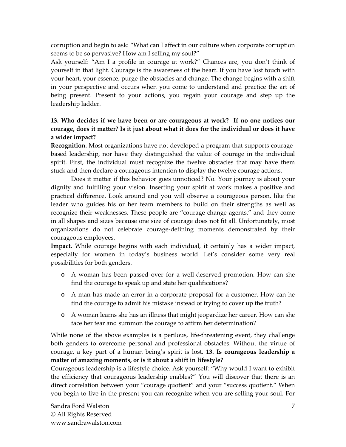corruption and begin to ask: "What can I affect in our culture when corporate corruption seems to be so pervasive? How am I selling my soul?"

Ask yourself: "Am I a profile in courage at work?" Chances are, you don't think of yourself in that light. Courage is the awareness of the heart. If you have lost touch with your heart, your essence, purge the obstacles and change. The change begins with a shift in your perspective and occurs when you come to understand and practice the art of being present. Present to your actions, you regain your courage and step up the leadership ladder.

# **13. Who decides if we have been or are courageous at work? If no one notices our courage, does it matter? Is it just about what it does for the individual or does it have a wider impact?**

**Recognition.** Most organizations have not developed a program that supports couragebased leadership, nor have they distinguished the value of courage in the individual spirit. First, the individual must recognize the twelve obstacles that may have them stuck and then declare a courageous intention to display the twelve courage actions.

Does it matter if this behavior goes unnoticed? No. Your journey is about your dignity and fulfilling your vision. Inserting your spirit at work makes a positive and practical difference. Look around and you will observe a courageous person, like the leader who guides his or her team members to build on their strengths as well as recognize their weaknesses. These people are "courage change agents," and they come in all shapes and sizes because one size of courage does not fit all. Unfortunately, most organizations do not celebrate courage-defining moments demonstrated by their courageous employees.

**Impact.** While courage begins with each individual, it certainly has a wider impact, especially for women in today's business world. Let's consider some very real possibilities for both genders.

- o A woman has been passed over for a well-deserved promotion. How can she find the courage to speak up and state her qualifications?
- o A man has made an error in a corporate proposal for a customer. How can he find the courage to admit his mistake instead of trying to cover up the truth?
- o A woman learns she has an illness that might jeopardize her career. How can she face her fear and summon the courage to affirm her determination?

While none of the above examples is a perilous, life-threatening event, they challenge both genders to overcome personal and professional obstacles. Without the virtue of courage, a key part of a human being's spirit is lost. **13. Is courageous leadership a matter of amazing moments, or is it about a shift in lifestyle?** 

Courageous leadership is a lifestyle choice. Ask yourself: "Why would I want to exhibit the efficiency that courageous leadership enables?" You will discover that there is an direct correlation between your "courage quotient" and your "success quotient." When you begin to live in the present you can recognize when you are selling your soul. For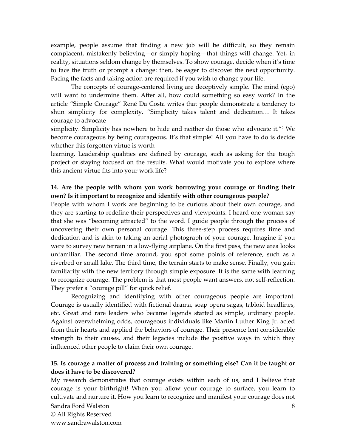example, people assume that finding a new job will be difficult, so they remain complacent, mistakenly believing—or simply hoping—that things will change. Yet, in reality, situations seldom change by themselves. To show courage, decide when it's time to face the truth or prompt a change: then, be eager to discover the next opportunity. Facing the facts and taking action are required if you wish to change your life.

The concepts of courage-centered living are deceptively simple. The mind (ego) will want to undermine them. After all, how could something so easy work? In the article "Simple Courage" René Da Costa writes that people demonstrate a tendency to shun simplicity for complexity. "Simplicity takes talent and dedication… It takes courage to advocate

simplicity. Simplicity has nowhere to hide and neither do those who advocate it."<sup>2</sup> We become courageous by being courageous. It's that simple! All you have to do is decide whether this forgotten virtue is worth

learning. Leadership qualities are defined by courage, such as asking for the tough project or staying focused on the results. What would motivate you to explore where this ancient virtue fits into your work life?

#### **14. Are the people with whom you work borrowing your courage or finding their own? Is it important to recognize and identify with other courageous people?**

People with whom I work are beginning to be curious about their own courage, and they are starting to redefine their perspectives and viewpoints. I heard one woman say that she was "becoming attracted" to the word. I guide people through the process of uncovering their own personal courage. This three-step process requires time and dedication and is akin to taking an aerial photograph of your courage. Imagine if you were to survey new terrain in a low-flying airplane. On the first pass, the new area looks unfamiliar. The second time around, you spot some points of reference, such as a riverbed or small lake. The third time, the terrain starts to make sense. Finally, you gain familiarity with the new territory through simple exposure. It is the same with learning to recognize courage. The problem is that most people want answers, not self-reflection. They prefer a "courage pill" for quick relief.

Recognizing and identifying with other courageous people are important. Courage is usually identified with fictional drama, soap opera sagas, tabloid headlines, etc. Great and rare leaders who became legends started as simple, ordinary people. Against overwhelming odds, courageous individuals like Martin Luther King Jr. acted from their hearts and applied the behaviors of courage. Their presence lent considerable strength to their causes, and their legacies include the positive ways in which they influenced other people to claim their own courage.

#### **15. Is courage a matter of process and training or something else? Can it be taught or does it have to be discovered?**

My research demonstrates that courage exists within each of us, and I believe that courage is your birthright! When you allow your courage to surface, you learn to cultivate and nurture it. How you learn to recognize and manifest your courage does not

Sandra Ford Walston © All Rights Reserved www.sandrawalston.com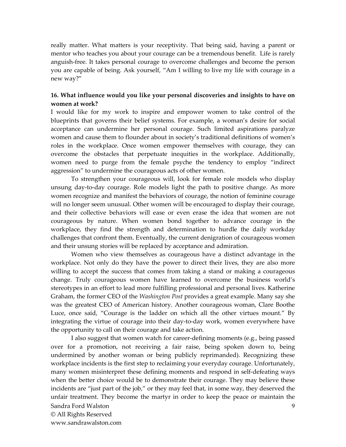really matter. What matters is your receptivity. That being said, having a parent or mentor who teaches you about your courage can be a tremendous benefit. Life is rarely anguish-free. It takes personal courage to overcome challenges and become the person you are capable of being. Ask yourself, "Am I willing to live my life with courage in a new way?"

#### **16. What influence would you like your personal discoveries and insights to have on women at work?**

I would like for my work to inspire and empower women to take control of the blueprints that governs their belief systems. For example, a woman's desire for social acceptance can undermine her personal courage. Such limited aspirations paralyze women and cause them to flounder about in society's traditional definitions of women's roles in the workplace. Once women empower themselves with courage, they can overcome the obstacles that perpetuate inequities in the workplace. Additionally, women need to purge from the female psyche the tendency to employ "indirect aggression" to undermine the courageous acts of other women.

To strengthen your courageous will, look for female role models who display unsung day-to-day courage. Role models light the path to positive change. As more women recognize and manifest the behaviors of courage, the notion of feminine courage will no longer seem unusual. Other women will be encouraged to display their courage, and their collective behaviors will ease or even erase the idea that women are not courageous by nature. When women bond together to advance courage in the workplace, they find the strength and determination to hurdle the daily workday challenges that confront them. Eventually, the current denigration of courageous women and their unsung stories will be replaced by acceptance and admiration.

Women who view themselves as courageous have a distinct advantage in the workplace. Not only do they have the power to direct their lives, they are also more willing to accept the success that comes from taking a stand or making a courageous change. Truly courageous women have learned to overcome the business world's stereotypes in an effort to lead more fulfilling professional and personal lives. Katherine Graham, the former CEO of the *Washington Post* provides a great example. Many say she was the greatest CEO of American history. Another courageous woman, Clare Boothe Luce, once said, "Courage is the ladder on which all the other virtues mount." By integrating the virtue of courage into their day-to-day work, women everywhere have the opportunity to call on their courage and take action.

Sandra Ford Walston 9 I also suggest that women watch for career-defining moments (e.g., being passed over for a promotion, not receiving a fair raise, being spoken down to, being undermined by another woman or being publicly reprimanded). Recognizing these workplace incidents is the first step to reclaiming your everyday courage. Unfortunately, many women misinterpret these defining moments and respond in self-defeating ways when the better choice would be to demonstrate their courage. They may believe these incidents are "just part of the job," or they may feel that, in some way, they deserved the unfair treatment. They become the martyr in order to keep the peace or maintain the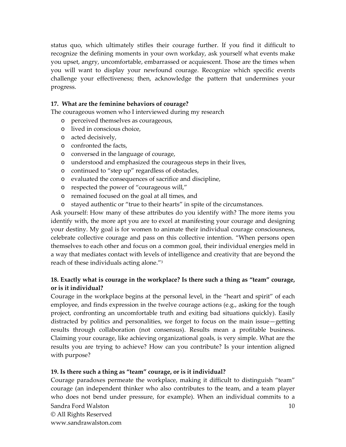status quo, which ultimately stifles their courage further. If you find it difficult to recognize the defining moments in your own workday, ask yourself what events make you upset, angry, uncomfortable, embarrassed or acquiescent. Those are the times when you will want to display your newfound courage. Recognize which specific events challenge your effectiveness; then, acknowledge the pattern that undermines your progress.

#### **17. What are the feminine behaviors of courage?**

The courageous women who I interviewed during my research

- o perceived themselves as courageous,
- o lived in conscious choice,
- o acted decisively,
- o confronted the facts,
- o conversed in the language of courage,
- o understood and emphasized the courageous steps in their lives,
- o continued to "step up" regardless of obstacles,
- o evaluated the consequences of sacrifice and discipline,
- o respected the power of "courageous will,"
- o remained focused on the goal at all times, and
- o stayed authentic or "true to their hearts" in spite of the circumstances.

Ask yourself: How many of these attributes do you identify with? The more items you identify with, the more apt you are to excel at manifesting your courage and designing your destiny. My goal is for women to animate their individual courage consciousness, celebrate collective courage and pass on this collective intention. "When persons open themselves to each other and focus on a common goal, their individual energies meld in a way that mediates contact with levels of intelligence and creativity that are beyond the reach of these individuals acting alone."<sup>3</sup>

# **18. Exactly what is courage in the workplace? Is there such a thing as "team" courage, or is it individual?**

Courage in the workplace begins at the personal level, in the "heart and spirit" of each employee, and finds expression in the twelve courage actions (e.g., asking for the tough project, confronting an uncomfortable truth and exiting bad situations quickly). Easily distracted by politics and personalities, we forget to focus on the main issue—getting results through collaboration (not consensus). Results mean a profitable business. Claiming your courage, like achieving organizational goals, is very simple. What are the results you are trying to achieve? How can you contribute? Is your intention aligned with purpose?

# **19. Is there such a thing as "team" courage, or is it individual?**

Sandra Ford Walston © All Rights Reserved www.sandrawalston.com 10 Courage paradoxes permeate the workplace, making it difficult to distinguish "team" courage (an independent thinker who also contributes to the team, and a team player who does not bend under pressure, for example). When an individual commits to a